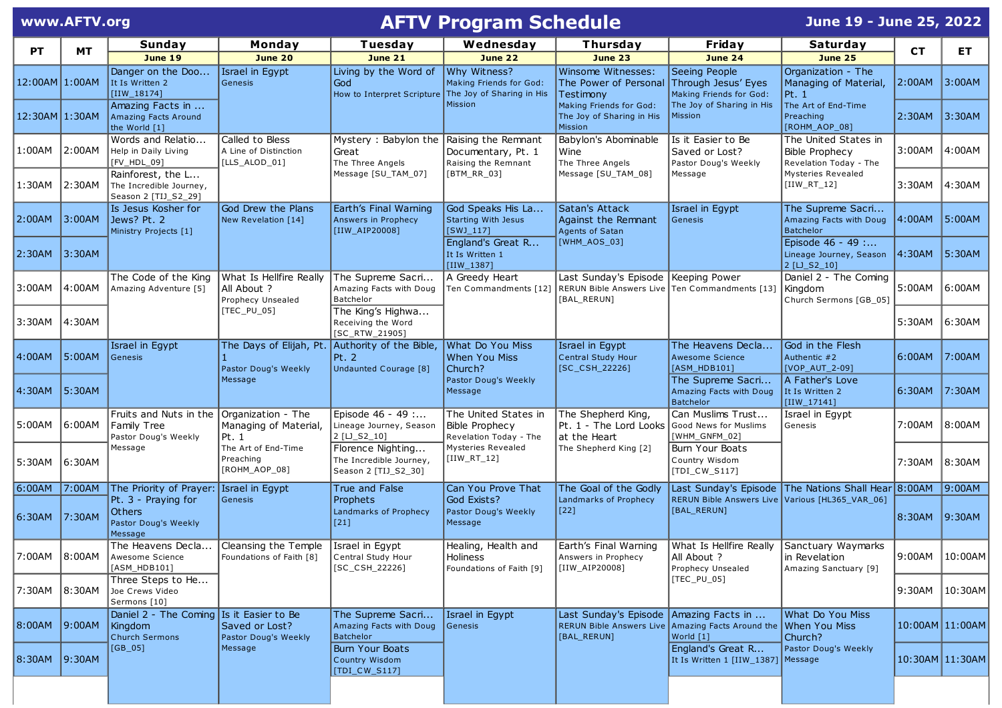|                | www.AFTV.org |                                                                         |                                                             | <b>AFTV Program Schedule</b>                                                         |                                                                  |                                                                                                      |                                                                  | June 19 - June 25, 2022                                                 |                 |         |
|----------------|--------------|-------------------------------------------------------------------------|-------------------------------------------------------------|--------------------------------------------------------------------------------------|------------------------------------------------------------------|------------------------------------------------------------------------------------------------------|------------------------------------------------------------------|-------------------------------------------------------------------------|-----------------|---------|
|                |              | Sunday                                                                  | Monday                                                      | Tuesday                                                                              | Wednesday                                                        | Thursday                                                                                             | Friday                                                           | Saturday                                                                |                 |         |
| <b>PT</b>      | MT.          | June 19                                                                 | June 20                                                     | <b>June 21</b>                                                                       | <b>June 22</b>                                                   | <b>June 23</b>                                                                                       | June 24                                                          | <b>June 25</b>                                                          | <b>CT</b>       | ET.     |
| 12:00AM 1:00AM |              | Danger on the Doo<br>It Is Written 2<br>$[IIW_18174]$                   | Israel in Egypt<br>Genesis                                  | Living by the Word of<br>God<br>How to Interpret Scripture The Joy of Sharing in His | Why Witness?<br>Making Friends for God:                          | Winsome Witnesses:<br>The Power of Personal<br>Testimony                                             | Seeing People<br>Through Jesus' Eyes<br>Making Friends for God:  | Organization - The<br>Managing of Material,<br> Pt. 1                   | 2:00AM          | 3:00AM  |
| 12:30AM 1:30AM |              | Amazing Facts in<br>Amazing Facts Around<br>the World [1]               |                                                             |                                                                                      | Mission                                                          | Making Friends for God:<br>The Joy of Sharing in His<br>Mission                                      | The Joy of Sharing in His<br><b>Mission</b>                      | The Art of End-Time<br>Preaching<br>[ROHM_AOP_08]                       | 2:30AM          | 3:30AM  |
| 1:00AM         | $ 2:00$ AM   | Words and Relatio<br>Help in Daily Living<br>[FV_HDL_09]                | Called to Bless<br>A Line of Distinction<br>[LLS_ALOD_01]   | Mystery: Babylon the<br>Great<br>The Three Angels                                    | Raising the Remnant<br>Documentary, Pt. 1<br>Raising the Remnant | Babylon's Abominable<br>Wine<br>The Three Angels                                                     | Is it Easier to Be<br>Saved or Lost?<br>Pastor Doug's Weekly     | The United States in<br><b>Bible Prophecy</b><br>Revelation Today - The | 3:00AM          | 4:00AM  |
| 1:30AM         | 2:30AM       | Rainforest, the L<br>The Incredible Journey,<br>Season 2 [TIJ_S2_29]    |                                                             | Message [SU_TAM_07]                                                                  | [BTM_RR_03]                                                      | Message [SU_TAM_08]                                                                                  | Message                                                          | Mysteries Revealed<br>$[IIW_RT_12]$                                     | 3:30AM          | 4:30AM  |
| 2:00AM         | 3:00AM       | Is Jesus Kosher for<br>Jews? Pt. 2<br>Ministry Projects [1]             | God Drew the Plans<br>New Revelation [14]                   | Earth's Final Warning<br>Answers in Prophecy<br>[IIW_AIP20008]                       | God Speaks His La<br><b>Starting With Jesus</b><br>$[SWJ_117]$   | Satan's Attack<br>Against the Remnant<br>Agents of Satan                                             | Israel in Egypt<br>Genesis                                       | The Supreme Sacri<br>Amazing Facts with Doug<br>Batchelor               | 4:00AM          | 5:00AM  |
| 2:30AM         | 3:30AM       |                                                                         |                                                             |                                                                                      | England's Great R<br>It Is Written 1<br>[IIW_1387]               | [WHM_AOS_03]                                                                                         |                                                                  | Episode 46 - 49 :<br>Lineage Journey, Season<br>2 [LJ_S2_10]            | 4:30AM          | 5:30AM  |
| 3:00AM         | 4:00AM       | The Code of the King<br>Amazing Adventure [5]                           | What Is Hellfire Really<br>All About ?<br>Prophecy Unsealed | The Supreme Sacri<br>Amazing Facts with Doug<br>Batchelor                            | A Greedy Heart<br>Ten Commandments [12]                          | Last Sunday's Episode Keeping Power<br>RERUN Bible Answers Live Ten Commandments [13]<br>[BAL_RERUN] |                                                                  | Daniel 2 - The Coming<br>Kingdom<br>Church Sermons [GB_05]              | 5:00AM          | 6:00AM  |
| 3:30AM         | 14:30AM      |                                                                         | [TEC_PU_05]                                                 | The King's Highwa<br>Receiving the Word<br>[SC_RTW_21905]                            |                                                                  |                                                                                                      |                                                                  |                                                                         | 5:30AM          | 6:30AM  |
| 4:00AM         | 5:00AM       | Israel in Egypt<br>Genesis                                              | The Days of Elijah, Pt.<br>Pastor Doug's Weekly             | Authority of the Bible,<br>Pt. 2<br>Undaunted Courage [8]                            | What Do You Miss<br><b>When You Miss</b><br>Church?              | Israel in Egypt<br>Central Study Hour<br>$[SC_CSH_22226]$                                            | The Heavens Decla<br><b>Awesome Science</b><br>[ASM_HDB101]      | God in the Flesh<br>Authentic #2<br>[VOP_AUT_2-09]                      | 6:00AM          | 7:00AM  |
| 4:30AM         | 5:30AM       |                                                                         | Message                                                     |                                                                                      | Pastor Doug's Weekly<br>Message                                  |                                                                                                      | The Supreme Sacri<br>Amazing Facts with Doug<br><b>Batchelor</b> | A Father's Love<br>It Is Written 2<br>$\vert$ [IIW_17141]               | 6:30AM          | 7:30AM  |
| 5:00AM         | 6:00AM       | Fruits and Nuts in the<br>Family Tree<br>Pastor Doug's Weekly           | Organization - The<br>Managing of Material,<br>Pt. 1        | Episode 46 - 49 :<br>Lineage Journey, Season<br>2 [LJ_S2_10]                         | The United States in<br>Bible Prophecy<br>Revelation Today - The | The Shepherd King,<br>Pt. 1 - The Lord Looks<br>at the Heart                                         | Can Muslims Trust<br>Good News for Muslims<br>[WHM_GNFM_02]      | Israel in Egypt<br>Genesis                                              | 7:00AM          | 8:00AM  |
| 5:30AM         | 6:30AM       | Message                                                                 | The Art of End-Time<br>Preaching<br>[ROHM_AOP_08]           | Florence Nighting<br>The Incredible Journey,<br>Season 2 [TIJ_S2_30]                 | Mysteries Revealed<br>$[IIW_RT_12]$                              | The Shepherd King [2]                                                                                | Burn Your Boats<br>Country Wisdom<br>[TDI_CW_S117]               |                                                                         | 7:30AM          | 8:30AM  |
| 6:00AM         | 7:00AM       | The Priority of Prayer:                                                 | Israel in Egypt                                             | True and False                                                                       | Can You Prove That                                               | The Goal of the Godly                                                                                |                                                                  | Last Sunday's Episode The Nations Shall Hear 8:00AM                     |                 | 9:00AM  |
| 6:30AM         | 7:30AM       | Pt. 3 - Praying for<br><b>Others</b><br>Pastor Doug's Weekly<br>Message | Genesis                                                     | <b>Prophets</b><br>Landmarks of Prophecy<br>$[21]$                                   | God Exists?<br>Pastor Doug's Weekly<br>Message                   | Landmarks of Prophecy<br>$[22]$                                                                      | RERUN Bible Answers Live Various [HL365_VAR_06]<br>[BAL_RERUN]   |                                                                         | 8:30AM          | 9:30AM  |
| 7:00AM         | $ 8:00$ AM   | The Heavens Decla<br>Awesome Science<br>[ASM_HDB101]                    | Cleansing the Temple<br>Foundations of Faith [8]            | Israel in Egypt<br>Central Study Hour<br>$[SC_CSH_22226]$                            | Healing, Health and<br>Holiness<br>Foundations of Faith [9]      | Earth's Final Warning<br>Answers in Prophecy<br>[IIW_AIP20008]                                       | What Is Hellfire Really<br>All About ?<br>Prophecy Unsealed      | Sanctuary Waymarks<br>in Revelation<br>Amazing Sanctuary [9]            | 9:00AM          | 10:00AM |
| 7:30AM         | $ 8:30$ AM   | Three Steps to He<br>Joe Crews Video<br>Sermons [10]                    |                                                             |                                                                                      |                                                                  |                                                                                                      | $[TEC_PU_05]$                                                    |                                                                         | 9:30AM          | 10:30AM |
| 8:00AM         | 9:00AM       | Daniel 2 - The Coming Is it Easier to Be<br>Kingdom<br>Church Sermons   | Saved or Lost?<br>Pastor Doug's Weekly                      | The Supreme Sacri<br>Amazing Facts with Doug<br><b>Batchelor</b>                     | Israel in Egypt<br>Genesis                                       | Last Sunday's Episode Amazing Facts in<br><b>RERUN Bible Answers Live</b><br>[BAL_RERUN]             | Amazing Facts Around the When You Miss<br>World [1]              | What Do You Miss<br>Church?                                             | 10:00AM 11:00AM |         |
| 8:30AM 9:30AM  |              | [GB_05]                                                                 | Message                                                     | <b>Burn Your Boats</b><br>Country Wisdom<br>[TDI_CW_S117]                            |                                                                  |                                                                                                      | England's Great R<br>It Is Written 1 [IIW_1387] Message          | Pastor Doug's Weekly                                                    | 10:30AM 11:30AM |         |
|                |              |                                                                         |                                                             |                                                                                      |                                                                  |                                                                                                      |                                                                  |                                                                         |                 |         |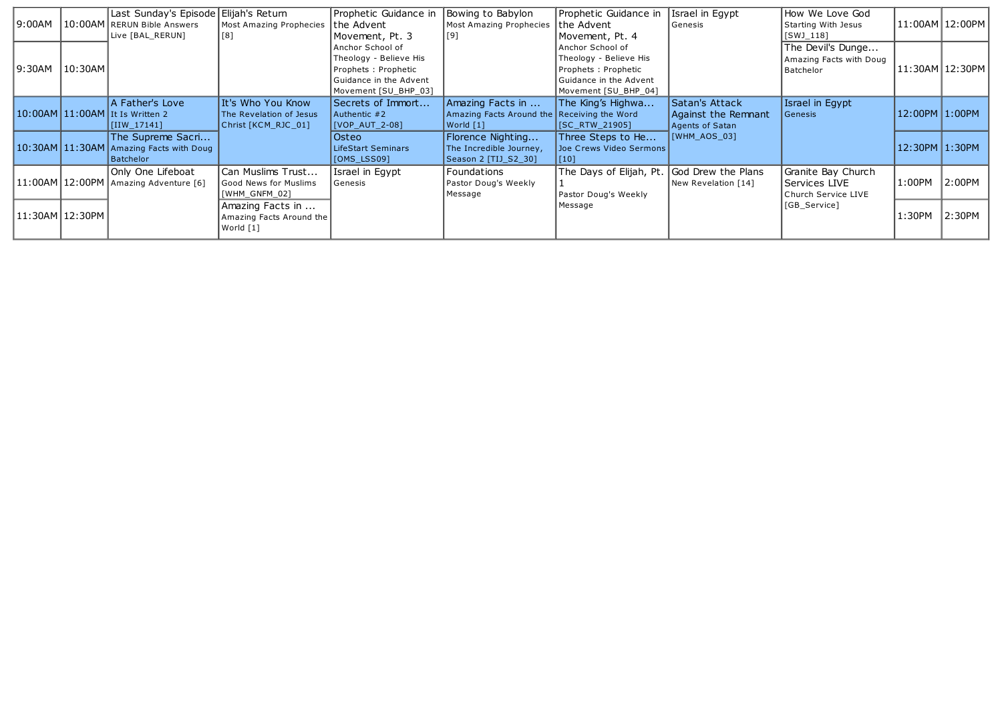| 9:00AM                      |         | Last Sunday's Episode Elijah's Return<br>10:00AM RERUN Bible Answers<br>Live [BAL_RERUN] | Most Amazing Prophecies<br> [8]                                     | Prophetic Guidance in<br>the Advent<br>Movement, Pt. 3                                                              | Bowing to Babylon<br><b>Most Amazing Prophecies</b><br> [9]                   | Prophetic Guidance in<br>the Advent<br>Movement, Pt. 4                                                              | Israel in Egypt<br>Genesis                               | How We Love God<br>Starting With Jesus<br>$[SWJ_118]$      |                | 11:00AM 12:00PM |
|-----------------------------|---------|------------------------------------------------------------------------------------------|---------------------------------------------------------------------|---------------------------------------------------------------------------------------------------------------------|-------------------------------------------------------------------------------|---------------------------------------------------------------------------------------------------------------------|----------------------------------------------------------|------------------------------------------------------------|----------------|-----------------|
| 9:30AM                      | 10:30AM |                                                                                          |                                                                     | Anchor School of<br>Theology - Believe His<br>Prophets: Prophetic<br>Guidance in the Advent<br>Movement [SU_BHP_03] |                                                                               | Anchor School of<br>Theology - Believe His<br>Prophets: Prophetic<br>Guidance in the Advent<br>Movement [SU_BHP_04] |                                                          | The Devil's Dunge<br>Amazing Facts with Doug<br>Batchelor  |                | 11:30AM 12:30PM |
|                             |         | A Father's Love<br>$10:00$ AM $11:00$ AM It Is Written 2<br>$\vert$ [IIW_17141]          | It's Who You Know<br>The Revelation of Jesus<br>Christ [KCM_RJC_01] | Secrets of Immort<br>Authentic #2<br> [VOP_AUT_2-08]                                                                | Amazing Facts in<br>Amazing Facts Around the Receiving the Word<br> World [1] | The King's Highwa<br>[SC_RTW_21905]                                                                                 | Satan's Attack<br>Against the Remnant<br>Agents of Satan | Israel in Eqypt<br>  Genesis                               | 12:00PM 1:00PM |                 |
|                             |         | The Supreme Sacri<br>10:30AM 11:30AM Amazing Facts with Doug<br>Batchelor                |                                                                     | Osteo<br><b>LifeStart Seminars</b><br>$[OMS_LSS09]$                                                                 | Florence Nighting<br>The Incredible Journey,<br> Season 2 [TIJ_S2_30]         | Three Steps to He<br>Joe Crews Video Sermons<br> [10]                                                               | [WHM_AOS_03]                                             |                                                            | 12:30PM 1:30PM |                 |
| $ 11:00$ AM $ 12:00$ PM $ $ |         | Only One Lifeboat<br>Amazing Adventure [6]                                               | Can Muslims Trust<br>Good News for Muslims<br>[WHM_GNFM_02]         | Israel in Egypt<br>Genesis                                                                                          | Foundations<br>Pastor Doug's Weekly<br>Message                                | The Days of Elijah, Pt. God Drew the Plans<br>Pastor Doug's Weekly                                                  | New Revelation [14]                                      | Granite Bay Church<br>Services LIVE<br>Church Service LIVE | 1:00PM         | 2:00PM          |
|                             |         |                                                                                          | Amazing Facts in<br>Amazing Facts Around the<br>World [1]           |                                                                                                                     |                                                                               | Message                                                                                                             |                                                          | [GB_Service]                                               | 1:30PM         | 2:30PM          |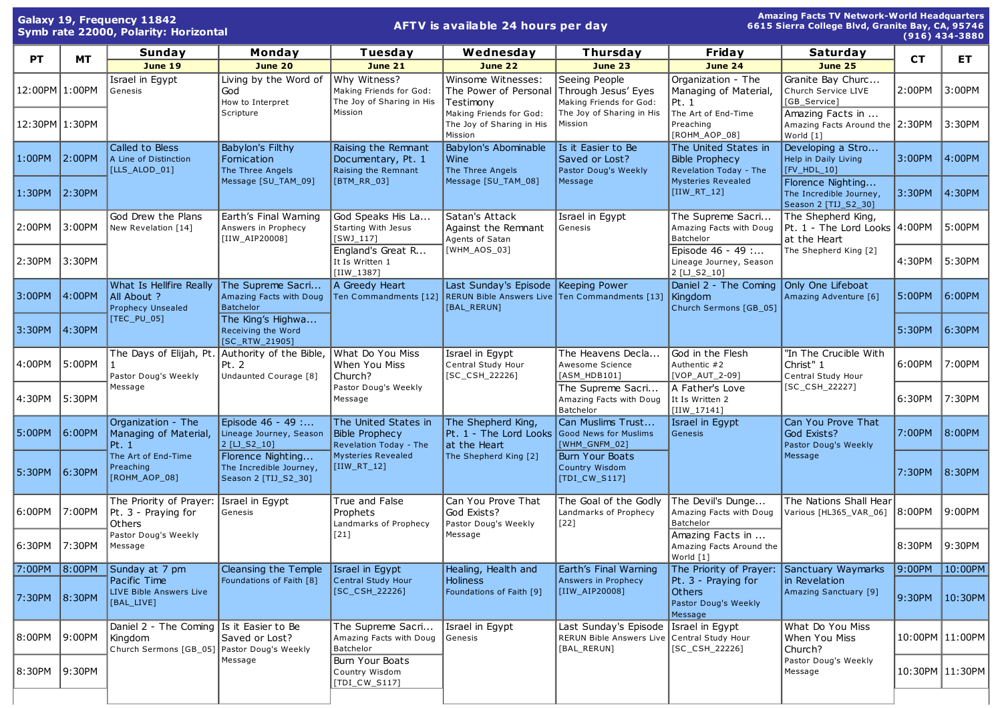| <b>Amazing Facts TV Network-World Headquarters</b><br>Galaxy 19, Frequency 11842<br>AFTV is available 24 hours per day<br>6615 Sierra College Blvd, Granite Bay, CA, 95746<br>Symb rate 22000, Polarity: Horizontal<br>$(916)$ 434-3880 |            |                                                             |                                                                                                                                         |                                                                      |                                                                                                                                      |                                                                                     |                                                                         |                                                                      |            |                   |
|-----------------------------------------------------------------------------------------------------------------------------------------------------------------------------------------------------------------------------------------|------------|-------------------------------------------------------------|-----------------------------------------------------------------------------------------------------------------------------------------|----------------------------------------------------------------------|--------------------------------------------------------------------------------------------------------------------------------------|-------------------------------------------------------------------------------------|-------------------------------------------------------------------------|----------------------------------------------------------------------|------------|-------------------|
| <b>PT</b>                                                                                                                                                                                                                               | <b>MT</b>  | Sunday                                                      | Monday                                                                                                                                  | Tuesday                                                              | Wednesday                                                                                                                            | Thursday                                                                            | Friday                                                                  | Saturday                                                             | <b>CT</b>  | ET.               |
|                                                                                                                                                                                                                                         |            | June 19                                                     | <b>June 20</b>                                                                                                                          | <b>June 21</b>                                                       | <b>June 22</b>                                                                                                                       | June 23                                                                             | <b>June 24</b>                                                          | <b>June 25</b>                                                       |            |                   |
| 12:00PM 1:00PM                                                                                                                                                                                                                          |            | Israel in Eqypt<br>Genesis                                  | Living by the Word of<br>God<br>How to Interpret                                                                                        | Why Witness?<br>Making Friends for God:<br>The Joy of Sharing in His | Winsome Witnesses:<br>The Power of Personal<br>Testimony                                                                             | Seeing People<br>Through Jesus' Eyes<br>Making Friends for God:                     | Organization - The<br>Managing of Material,<br>Pt. 1                    | Granite Bay Churc<br>Church Service LIVE<br>[GB_Service]             | 2:00PM     | 3:00PM            |
| 12:30PM 1:30PM                                                                                                                                                                                                                          |            |                                                             | Scripture                                                                                                                               | Mission                                                              | Making Friends for God:<br>The Joy of Sharing in His<br>Mission                                                                      | The Joy of Sharing in His<br>Mission                                                | The Art of End-Time<br>Preaching<br>[ROHM_AOP_08]                       | Amazing Facts in<br>Amazing Facts Around the 2:30PM<br>World [1]     |            | 3:30PM            |
| 1:00PM                                                                                                                                                                                                                                  | $ 2:00$ PM | Called to Bless<br>A Line of Distinction<br>[LLS_ALOD_01]   | <b>Babylon's Filthy</b><br>Fornication<br>The Three Angels                                                                              | Raising the Remnant<br>Documentary, Pt. 1<br>Raising the Remnant     | Babylon's Abominable<br>Wine<br>The Three Angels                                                                                     | Is it Easier to Be<br>Saved or Lost?<br>Pastor Doug's Weekly<br>Message             | The United States in<br><b>Bible Prophecy</b><br>Revelation Today - The | Developing a Stro<br>Help in Daily Living<br>[FV_HDL_10]             | 3:00PM     | 4:00PM            |
| 1:30PM                                                                                                                                                                                                                                  | $ 2:30$ PM |                                                             | Message [SU_TAM_09]                                                                                                                     | [BTM_RR_03]                                                          | Message [SU_TAM_08]                                                                                                                  |                                                                                     | <b>Mysteries Revealed</b><br>[IIW_RT_12]                                | Florence Nighting<br>The Incredible Journey,<br>Season 2 [TIJ_S2_30] | 3:30PM     | 4:30PM            |
| 2:00PM                                                                                                                                                                                                                                  | 3:00PM     | God Drew the Plans<br>New Revelation [14]                   | Earth's Final Warning<br>Answers in Prophecy<br>[IIW_AIP20008]                                                                          | God Speaks His La<br>Starting With Jesus<br>$[SWJ_117]$              | Satan's Attack<br>Against the Remnant<br>Agents of Satan                                                                             | Israel in Egypt<br>Genesis                                                          | The Supreme Sacri<br>Amazing Facts with Doug<br>Batchelor               | The Shepherd King,<br>Pt. 1 - The Lord Looks 4:00PM<br>at the Heart  |            | 5:00PM            |
| 2:30PM                                                                                                                                                                                                                                  | 3:30PM     |                                                             |                                                                                                                                         | England's Great R<br>It Is Written 1<br>$[IIW_1387]$                 | [WHM_AOS_03]                                                                                                                         |                                                                                     | Episode 46 - 49 :<br>Lineage Journey, Season<br>2 [LJ_S2_10]            | The Shepherd King [2]                                                | 4:30PM     | 5:30PM            |
| 3:00PM                                                                                                                                                                                                                                  | $ 4:00$ PM | What Is Hellfire Really<br>All About ?<br>Prophecy Unsealed | The Supreme Sacri<br>Amazing Facts with Doug<br><b>Batchelor</b>                                                                        | A Greedy Heart                                                       | Last Sunday's Episode   Keeping Power<br>Ten Commandments [12] RERUN Bible Answers Live Ten Commandments [13] Kingdom<br>[BAL RERUN] |                                                                                     | Daniel 2 - The Coming Only One Lifeboat<br>Church Sermons [GB_05]       | Amazing Adventure [6]                                                | 5:00PM     | 6:00PM            |
| 3:30PM                                                                                                                                                                                                                                  | $ 4:30$ PM | $[TEC_PU_05]$                                               | The King's Highwa<br>Receiving the Word<br>[SC_RTW_21905]                                                                               |                                                                      |                                                                                                                                      |                                                                                     |                                                                         |                                                                      | 5:30PM     | 6:30PM            |
| 4:00PM                                                                                                                                                                                                                                  | 5:00PM     | Pastor Doug's Weekly                                        | The Days of Elijah, Pt. Authority of the Bible,<br>Pt. 2<br>Undaunted Courage [8]                                                       | What Do You Miss<br>When You Miss<br>Church?                         | Israel in Egypt<br>Central Study Hour<br>$[SC_CSH_22226]$                                                                            | The Heavens Decla<br>Awesome Science<br>$[ASM_HDB101]$                              | God in the Flesh<br>Authentic #2<br>[VOP_AUT_2-09]                      | "In The Crucible With<br>Christ" 1<br>Central Study Hour             | 6:00PM     | 7:00PM            |
| 4:30PM                                                                                                                                                                                                                                  | 5:30PM     | Message                                                     |                                                                                                                                         | Pastor Doug's Weekly<br>Message                                      |                                                                                                                                      | The Supreme Sacri<br>Amazing Facts with Doug<br>Batchelor                           | A Father's Love<br>It Is Written 2<br>$[IIW_17141]$                     | [SC_CSH_22227]                                                       | 6:30PM     | 7:30PM            |
| 5:00PM                                                                                                                                                                                                                                  | $ 6:00$ PM | Organization - The<br>Managing of Material,<br>Pt. 1        | Episode 46 - 49 :<br>The United States in<br>Lineage Journey, Season<br><b>Bible Prophecy</b><br>2 [LJ_S2_10]<br>Revelation Today - The | The Shepherd King,<br>Pt. 1 - The Lord Looks<br>at the Heart         | Can Muslims Trust<br>Good News for Muslims<br>[WHM_GNFM_02]                                                                          | Israel in Egypt<br>Genesis                                                          | Can You Prove That<br>God Exists?<br>Pastor Doug's Weekly               | 7:00PM                                                               | 8:00PM     |                   |
| 5:30PM                                                                                                                                                                                                                                  | $ 6:30$ PM | The Art of End-Time<br>Preaching<br>[ROHM_AOP_08]           | Florence Nighting<br>The Incredible Journey,<br>Season 2 [TIJ_S2_30]                                                                    | <b>Mysteries Revealed</b><br>$[IIW_RT_12]$                           | The Shepherd King [2]                                                                                                                | <b>Burn Your Boats</b><br>Country Wisdom<br>[TDI_CW_S117]                           |                                                                         | Message                                                              | 7:30PM     | 8:30PM            |
| 6:00PM                                                                                                                                                                                                                                  | 7:00PM     | The Priority of Prayer:<br>Pt. 3 - Praying for<br>Others    | True and False<br>Israel in Egypt<br>Genesis<br>Prophets                                                                                | Landmarks of Prophecy                                                | Can You Prove That<br>God Exists?<br>Pastor Doug's Weekly                                                                            | The Goal of the Godly<br>Landmarks of Prophecy<br>$[22]$                            | The Devil's Dunge<br>Amazing Facts with Doug<br>Batchelor               | The Nations Shall Hear<br>Various [HL365_VAR_06]                     | $ 8:00$ PM | 9:00PM            |
| 6:30PM 7:30PM                                                                                                                                                                                                                           |            | Pastor Doug's Weekly<br>Message                             |                                                                                                                                         | $[21]$                                                               | ∥Message                                                                                                                             |                                                                                     | Amazing Facts in<br>Amazing Facts Around the<br>World [1]               |                                                                      | 8:30PM     | 9:30PM            |
| 7:00PM                                                                                                                                                                                                                                  | $ 8:00$ PM | Sunday at 7 pm                                              | Cleansing the Temple                                                                                                                    | Israel in Eqypt                                                      | Healing, Health and                                                                                                                  | Earth's Final Warning                                                               | The Priority of Prayer:                                                 | Sanctuary Waymarks                                                   | 9:00PM     | 10:00PM           |
| 7:30PM 8:30PM                                                                                                                                                                                                                           |            | Pacific Time<br>LIVE Bible Answers Live<br>[BAL_LIVE]       | Foundations of Faith [8]                                                                                                                | Central Study Hour<br>$[SC_CSH_22226]$                               | <b>Holiness</b><br>Foundations of Faith [9]                                                                                          | Answers in Prophecy<br>[IIW_AIP20008]                                               | Pt. 3 - Praying for<br><b>Others</b><br>Pastor Doug's Weekly<br>Message | in Revelation<br>Amazing Sanctuary [9]                               | 9:30PM     | 10:30PM           |
| 8:00PM                                                                                                                                                                                                                                  | $ 9:00$ PM | Kingdom                                                     | Daniel 2 - The Coming   Is it Easier to Be<br>Saved or Lost?<br>Church Sermons [GB_05] Pastor Doug's Weekly                             | The Supreme Sacri<br>Amazing Facts with Doug<br>Batchelor            | Israel in Egypt<br>Genesis                                                                                                           | Last Sunday's Episode<br>RERUN Bible Answers Live Central Study Hour<br>[BAL_RERUN] | Israel in Egypt<br>[SC_CSH_22226]                                       | What Do You Miss<br>When You Miss<br>Church?                         |            | 10:00PM 11:00PM   |
| 8:30PM                                                                                                                                                                                                                                  | 9:30PM     |                                                             | Message                                                                                                                                 | Burn Your Boats<br>Country Wisdom<br>[TDI_CW_S117]                   |                                                                                                                                      |                                                                                     |                                                                         | Pastor Doug's Weekly<br>Message                                      |            | 10:30PM   11:30PM |